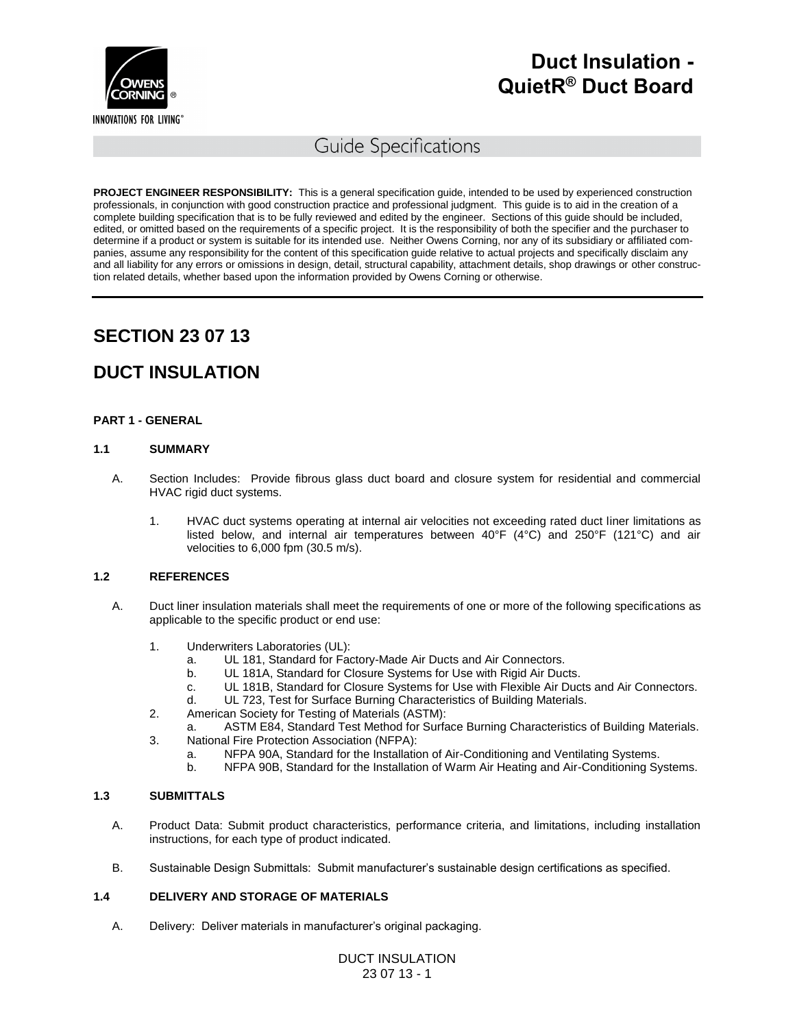

# Guide Specifications

**PROJECT ENGINEER RESPONSIBILITY:** This is a general specification guide, intended to be used by experienced construction professionals, in conjunction with good construction practice and professional judgment. This guide is to aid in the creation of a complete building specification that is to be fully reviewed and edited by the engineer. Sections of this guide should be included, edited, or omitted based on the requirements of a specific project. It is the responsibility of both the specifier and the purchaser to determine if a product or system is suitable for its intended use. Neither Owens Corning, nor any of its subsidiary or affiliated companies, assume any responsibility for the content of this specification guide relative to actual projects and specifically disclaim any and all liability for any errors or omissions in design, detail, structural capability, attachment details, shop drawings or other construction related details, whether based upon the information provided by Owens Corning or otherwise.

# **SECTION 23 07 13**

# **DUCT INSULATION**

## **PART 1 - GENERAL**

## **1.1 SUMMARY**

- A. Section Includes: Provide fibrous glass duct board and closure system for residential and commercial HVAC rigid duct systems.
	- 1. HVAC duct systems operating at internal air velocities not exceeding rated duct liner limitations as listed below, and internal air temperatures between 40°F (4°C) and 250°F (121°C) and air velocities to 6,000 fpm (30.5 m/s).

#### **1.2 REFERENCES**

- A. Duct liner insulation materials shall meet the requirements of one or more of the following specifications as applicable to the specific product or end use:
	- 1. Underwriters Laboratories (UL):
		- a. UL 181, Standard for Factory-Made Air Ducts and Air Connectors.
		- b. UL 181A, Standard for Closure Systems for Use with Rigid Air Ducts.
		- c. UL 181B, Standard for Closure Systems for Use with Flexible Air Ducts and Air Connectors.
		- d. UL 723, Test for Surface Burning Characteristics of Building Materials.
	- 2. American Society for Testing of Materials (ASTM):
	- a. ASTM E84, Standard Test Method for Surface Burning Characteristics of Building Materials. 3. National Fire Protection Association (NFPA):
		- a. NFPA 90A, Standard for the Installation of Air-Conditioning and Ventilating Systems.
			-
			- b. NFPA 90B, Standard for the Installation of Warm Air Heating and Air-Conditioning Systems.

# **1.3 SUBMITTALS**

- A. Product Data: Submit product characteristics, performance criteria, and limitations, including installation instructions, for each type of product indicated.
- B. Sustainable Design Submittals: Submit manufacturer's sustainable design certifications as specified.

# **1.4 DELIVERY AND STORAGE OF MATERIALS**

A. Delivery: Deliver materials in manufacturer's original packaging.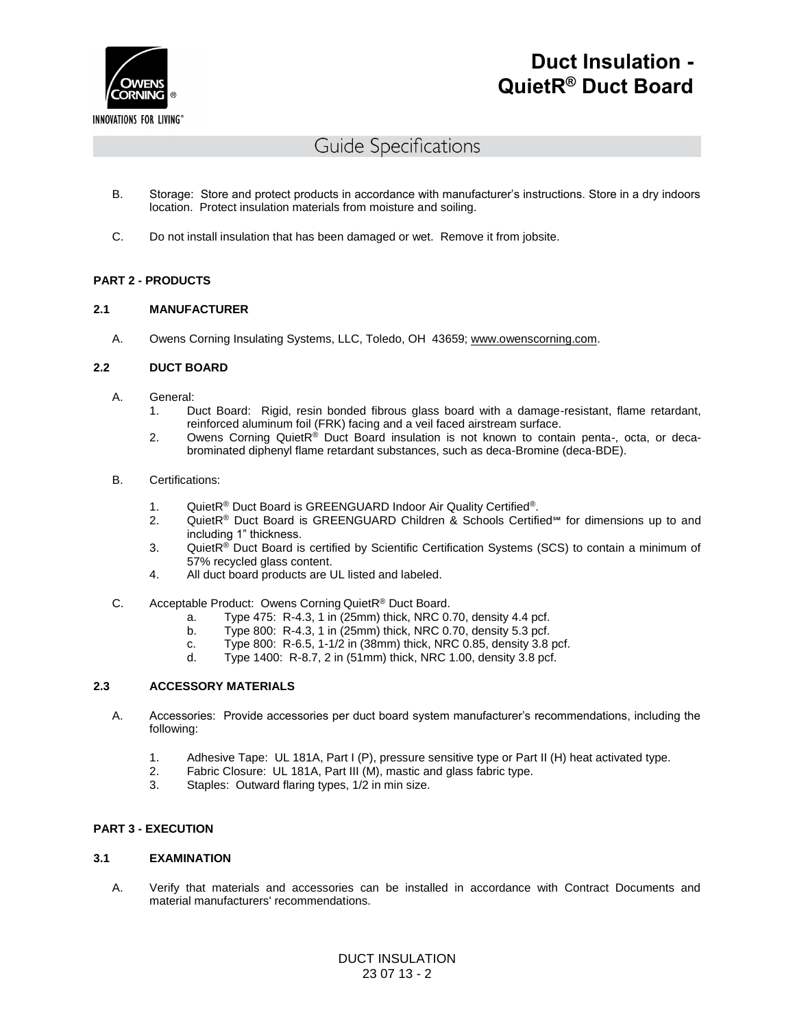

# Guide Specifications

- B. Storage: Store and protect products in accordance with manufacturer's instructions. Store in a dry indoors location. Protect insulation materials from moisture and soiling.
- C. Do not install insulation that has been damaged or wet. Remove it from jobsite.

# **PART 2 - PRODUCTS**

## **2.1 MANUFACTURER**

A. Owens Corning Insulating Systems, LLC, Toledo, OH 43659; [www.owenscorning.com.](http://www.owenscorning.com/)

## **2.2 DUCT BOARD**

- A. General:
	- 1. Duct Board: Rigid, resin bonded fibrous glass board with a damage-resistant, flame retardant, reinforced aluminum foil (FRK) facing and a veil faced airstream surface.
	- 2. Owens Corning QuietR® Duct Board insulation is not known to contain penta-, octa, or decabrominated diphenyl flame retardant substances, such as deca-Bromine (deca-BDE).

#### B. Certifications:

- 1. QuietR<sup>®</sup> Duct Board is GREENGUARD Indoor Air Quality Certified<sup>®</sup>.
- 2. QuietR<sup>®</sup> Duct Board is GREENGUARD Children & Schools Certified<sup>5M</sup> for dimensions up to and including 1" thickness.
- 3. QuietR<sup>®</sup> Duct Board is certified by Scientific Certification Systems (SCS) to contain a minimum of 57% recycled glass content.
- 4. All duct board products are UL listed and labeled.
- C. Acceptable Product: Owens Corning QuietR® Duct Board.
	- a. Type 475: R-4.3, 1 in (25mm) thick, NRC 0.70, density 4.4 pcf.
	- b. Type 800: R-4.3, 1 in (25mm) thick, NRC 0.70, density 5.3 pcf.
	- c. Type 800: R-6.5, 1-1/2 in (38mm) thick, NRC 0.85, density 3.8 pcf.
	- d. Type 1400: R-8.7, 2 in (51mm) thick, NRC 1.00, density 3.8 pcf.

## **2.3 ACCESSORY MATERIALS**

- A. Accessories: Provide accessories per duct board system manufacturer's recommendations, including the following:
	- 1. Adhesive Tape: UL 181A, Part I (P), pressure sensitive type or Part II (H) heat activated type.
	- 2. Fabric Closure: UL 181A, Part III (M), mastic and glass fabric type.
	- 3. Staples: Outward flaring types, 1/2 in min size.

## **PART 3 - EXECUTION**

## **3.1 EXAMINATION**

A. Verify that materials and accessories can be installed in accordance with Contract Documents and material manufacturers' recommendations.

> DUCT INSULATION 23 07 13 - 2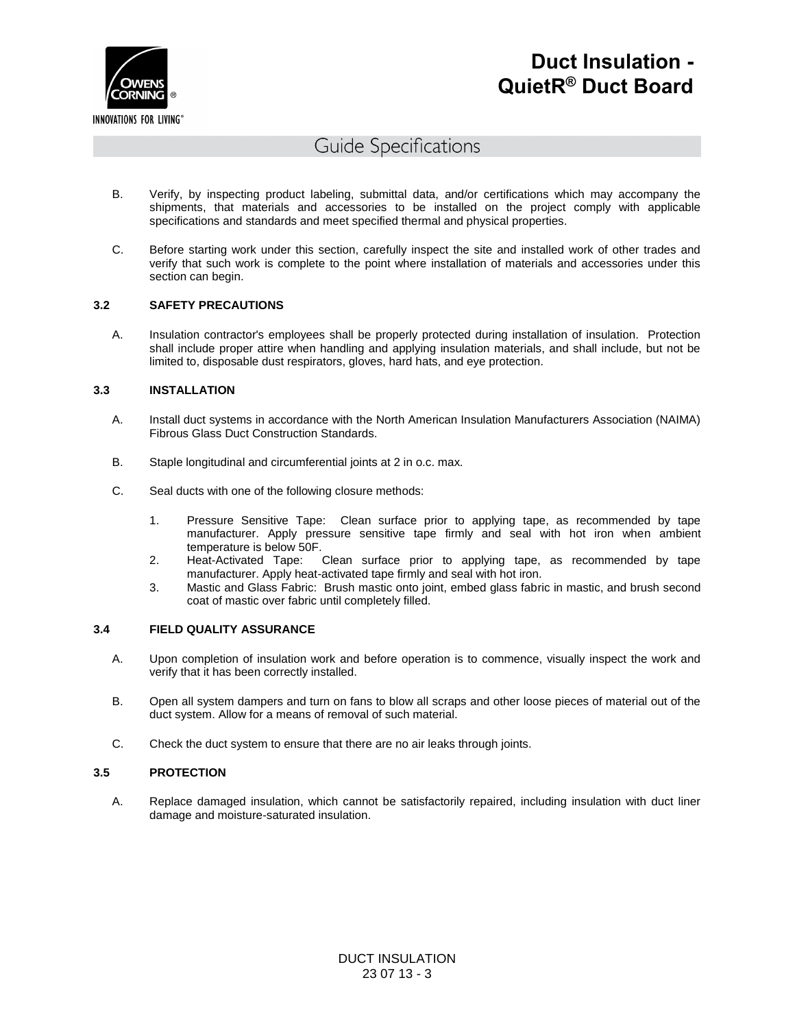

# Guide Specifications

- B. Verify, by inspecting product labeling, submittal data, and/or certifications which may accompany the shipments, that materials and accessories to be installed on the project comply with applicable specifications and standards and meet specified thermal and physical properties.
- C. Before starting work under this section, carefully inspect the site and installed work of other trades and verify that such work is complete to the point where installation of materials and accessories under this section can begin.

#### **3.2 SAFETY PRECAUTIONS**

A. Insulation contractor's employees shall be properly protected during installation of insulation. Protection shall include proper attire when handling and applying insulation materials, and shall include, but not be limited to, disposable dust respirators, gloves, hard hats, and eye protection.

## **3.3 INSTALLATION**

- A. Install duct systems in accordance with the North American Insulation Manufacturers Association (NAIMA) Fibrous Glass Duct Construction Standards.
- B. Staple longitudinal and circumferential joints at 2 in o.c. max.
- C. Seal ducts with one of the following closure methods:
	- 1. Pressure Sensitive Tape: Clean surface prior to applying tape, as recommended by tape manufacturer. Apply pressure sensitive tape firmly and seal with hot iron when ambient temperature is below 50F.
	- 2. Heat-Activated Tape: Clean surface prior to applying tape, as recommended by tape manufacturer. Apply heat-activated tape firmly and seal with hot iron.
	- 3. Mastic and Glass Fabric: Brush mastic onto joint, embed glass fabric in mastic, and brush second coat of mastic over fabric until completely filled.

# **3.4 FIELD QUALITY ASSURANCE**

- A. Upon completion of insulation work and before operation is to commence, visually inspect the work and verify that it has been correctly installed.
- B. Open all system dampers and turn on fans to blow all scraps and other loose pieces of material out of the duct system. Allow for a means of removal of such material.
- C. Check the duct system to ensure that there are no air leaks through joints.

#### **3.5 PROTECTION**

A. Replace damaged insulation, which cannot be satisfactorily repaired, including insulation with duct liner damage and moisture-saturated insulation.